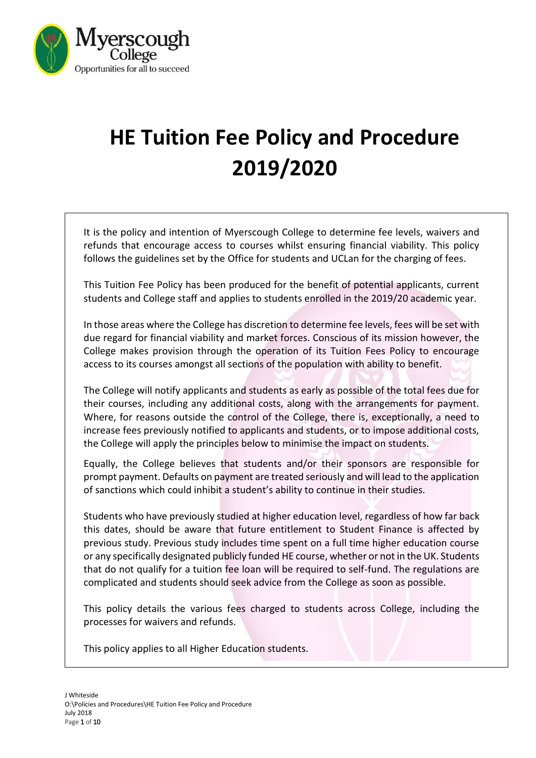

# **HE Tuition Fee Policy and Procedure 2019/2020**

It is the policy and intention of Myerscough College to determine fee levels, waivers and refunds that encourage access to courses whilst ensuring financial viability. This policy follows the guidelines set by the Office for students and UCLan for the charging of fees.

This Tuition Fee Policy has been produced for the benefit of potential applicants, current students and College staff and applies to students enrolled in the 2019/20 academic year.

In those areas where the College has discretion to determine fee levels, fees will be set with due regard for financial viability and market forces. Conscious of its mission however, the College makes provision through the operation of its Tuition Fees Policy to encourage access to its courses amongst all sections of the population with ability to benefit.

The College will notify applicants and students as early as possible of the total fees due for their courses, including any additional costs, along with the arrangements for payment. Where, for reasons outside the control of the College, there is, exceptionally, a need to increase fees previously notified to applicants and students, or to impose additional costs, the College will apply the principles below to minimise the impact on students.

Equally, the College believes that students and/or their sponsors are responsible for prompt payment. Defaults on payment are treated seriously and will lead to the application of sanctions which could inhibit a student's ability to continue in their studies.

Students who have previously studied at higher education level, regardless of how far back this dates, should be aware that future entitlement to Student Finance is affected by previous study. Previous study includes time spent on a full time higher education course or any specifically designated publicly funded HE course, whether or not in the UK. Students that do not qualify for a tuition fee loan will be required to self-fund. The regulations are complicated and students should seek advice from the College as soon as possible.

This policy details the various fees charged to students across College, including the processes for waivers and refunds.

This policy applies to all Higher Education students.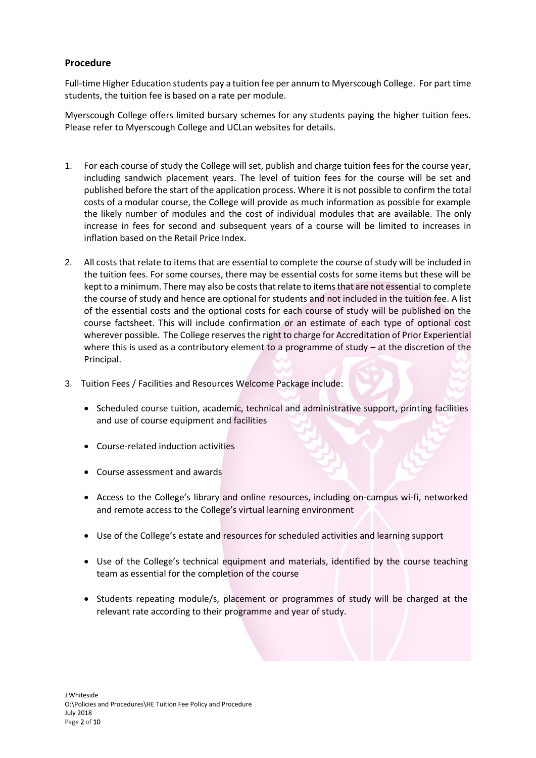## **Procedure**

Full-time Higher Education students pay a tuition fee per annum to Myerscough College. For part time students, the tuition fee is based on a rate per module.

Myerscough College offers limited bursary schemes for any students paying the higher tuition fees. Please refer to Myerscough College and UCLan websites for details.

- 1. For each course of study the College will set, publish and charge tuition fees for the course year, including sandwich placement years. The level of tuition fees for the course will be set and published before the start of the application process. Where it is not possible to confirm the total costs of a modular course, the College will provide as much information as possible for example the likely number of modules and the cost of individual modules that are available. The only increase in fees for second and subsequent years of a course will be limited to increases in inflation based on the Retail Price Index.
- 2. All costs that relate to items that are essential to complete the course of study will be included in the tuition fees. For some courses, there may be essential costs for some items but these will be kept to a minimum. There may also be costs that relate to items that are not essential to complete the course of study and hence are optional for students and not included in the tuition fee. A list of the essential costs and the optional costs for each course of study will be published on the course factsheet. This will include confirmation or an estimate of each type of optional cost wherever possible. The College reserves the right to charge for Accreditation of Prior Experiential where this is used as a contributory element to a programme of study – at the discretion of the Principal.
- 3. Tuition Fees / Facilities and Resources Welcome Package include:
	- Scheduled course tuition, academic, technical and administrative support, printing facilities and use of course equipment and facilities
	- Course-related induction activities
	- Course assessment and awards
	- Access to the College's library and online resources, including on-campus wi-fi, networked and remote access to the College's virtual learning environment
	- Use of the College's estate and resources for scheduled activities and learning support
	- Use of the College's technical equipment and materials, identified by the course teaching team as essential for the completion of the course
	- Students repeating module/s, placement or programmes of study will be charged at the relevant rate according to their programme and year of study.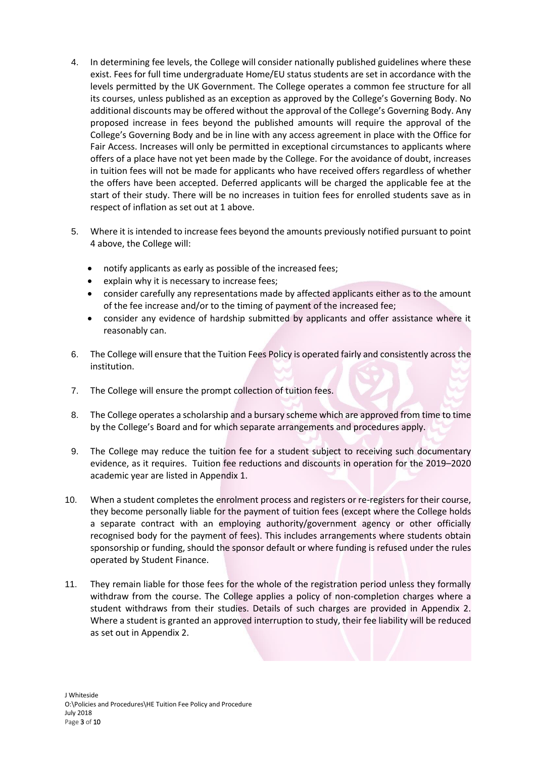- 4. In determining fee levels, the College will consider nationally published guidelines where these exist. Fees for full time undergraduate Home/EU status students are set in accordance with the levels permitted by the UK Government. The College operates a common fee structure for all its courses, unless published as an exception as approved by the College's Governing Body. No additional discounts may be offered without the approval of the College's Governing Body. Any proposed increase in fees beyond the published amounts will require the approval of the College's Governing Body and be in line with any access agreement in place with the Office for Fair Access. Increases will only be permitted in exceptional circumstances to applicants where offers of a place have not yet been made by the College. For the avoidance of doubt, increases in tuition fees will not be made for applicants who have received offers regardless of whether the offers have been accepted. Deferred applicants will be charged the applicable fee at the start of their study. There will be no increases in tuition fees for enrolled students save as in respect of inflation as set out at 1 above.
- 5. Where it is intended to increase fees beyond the amounts previously notified pursuant to point 4 above, the College will:
	- notify applicants as early as possible of the increased fees;
	- explain why it is necessary to increase fees;
	- consider carefully any representations made by affected applicants either as to the amount of the fee increase and/or to the timing of payment of the increased fee;
	- consider any evidence of hardship submitted by applicants and offer assistance where it reasonably can.
- 6. The College will ensure that the Tuition Fees Policy is operated fairly and consistently across the institution.
- 7. The College will ensure the prompt collection of tuition fees.
- 8. The College operates a scholarship and a bursary scheme which are approved from time to time by the College's Board and for which separate arrangements and procedures apply.
- 9. The College may reduce the tuition fee for a student subject to receiving such documentary evidence, as it requires. Tuition fee reductions and discounts in operation for the 2019–2020 academic year are listed in Appendix 1.
- 10. When a student completes the enrolment process and registers or re-registers for their course, they become personally liable for the payment of tuition fees (except where the College holds a separate contract with an employing authority/government agency or other officially recognised body for the payment of fees). This includes arrangements where students obtain sponsorship or funding, should the sponsor default or where funding is refused under the rules operated by Student Finance.
- 11. They remain liable for those fees for the whole of the registration period unless they formally withdraw from the course. The College applies a policy of non-completion charges where a student withdraws from their studies. Details of such charges are provided in Appendix 2. Where a student is granted an approved interruption to study, their fee liability will be reduced as set out in Appendix 2.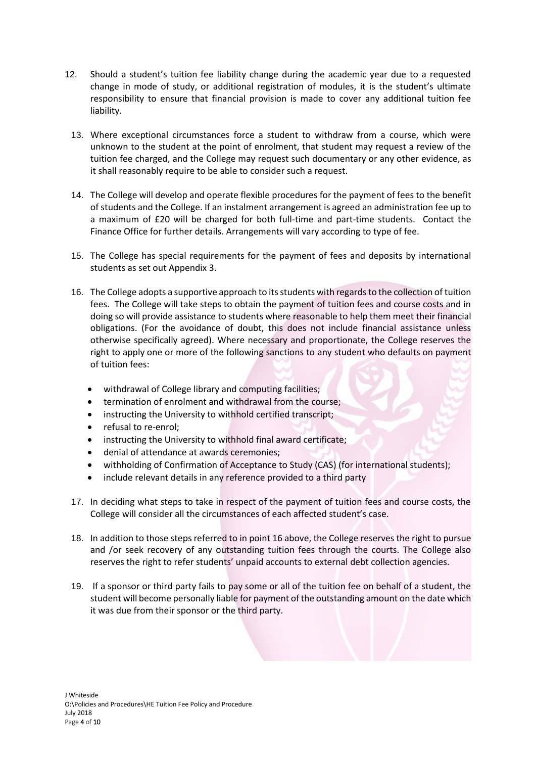- 12. Should a student's tuition fee liability change during the academic year due to a requested change in mode of study, or additional registration of modules, it is the student's ultimate responsibility to ensure that financial provision is made to cover any additional tuition fee liability.
	- 13. Where exceptional circumstances force a student to withdraw from a course, which were unknown to the student at the point of enrolment, that student may request a review of the tuition fee charged, and the College may request such documentary or any other evidence, as it shall reasonably require to be able to consider such a request.
	- 14. The College will develop and operate flexible procedures for the payment of fees to the benefit of students and the College. If an instalment arrangement is agreed an administration fee up to a maximum of £20 will be charged for both full-time and part-time students. Contact the Finance Office for further details. Arrangements will vary according to type of fee.
	- 15. The College has special requirements for the payment of fees and deposits by international students as set out Appendix 3.
	- 16. The College adopts a supportive approach to its students with regards to the collection of tuition fees. The College will take steps to obtain the payment of tuition fees and course costs and in doing so will provide assistance to students where reasonable to help them meet their financial obligations. (For the avoidance of doubt, this does not include financial assistance unless otherwise specifically agreed). Where necessary and proportionate, the College reserves the right to apply one or more of the following sanctions to any student who defaults on payment of tuition fees:
		- withdrawal of College library and computing facilities;
		- termination of enrolment and withdrawal from the course;
		- instructing the University to withhold certified transcript;
		- refusal to re-enrol;
		- instructing the University to withhold final award certificate;
		- denial of attendance at awards ceremonies;
		- withholding of Confirmation of Acceptance to Study (CAS) (for international students);
		- include relevant details in any reference provided to a third party
	- 17. In deciding what steps to take in respect of the payment of tuition fees and course costs, the College will consider all the circumstances of each affected student's case.
	- 18. In addition to those steps referred to in point 16 above, the College reserves the right to pursue and /or seek recovery of any outstanding tuition fees through the courts. The College also reserves the right to refer students' unpaid accounts to external debt collection agencies.
	- 19. If a sponsor or third party fails to pay some or all of the tuition fee on behalf of a student, the student will become personally liable for payment of the outstanding amount on the date which it was due from their sponsor or the third party.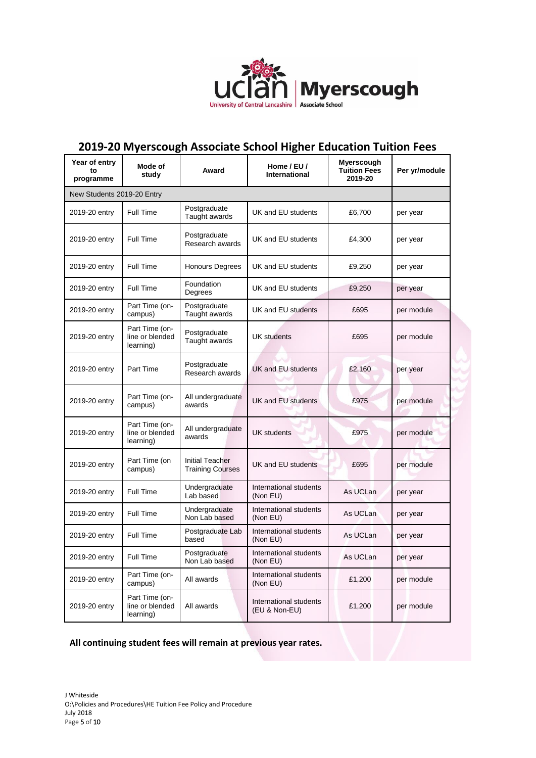

## **2019-20 Myerscough Associate School Higher Education Tuition Fees**

| Year of entry<br>to<br>programme | Mode of<br>study                               | Award                                             | Home / EU /<br>International            | Myerscough<br><b>Tuition Fees</b><br>2019-20 | Per yr/module |
|----------------------------------|------------------------------------------------|---------------------------------------------------|-----------------------------------------|----------------------------------------------|---------------|
| New Students 2019-20 Entry       |                                                |                                                   |                                         |                                              |               |
| 2019-20 entry                    | <b>Full Time</b>                               | Postgraduate<br>Taught awards                     | UK and EU students                      | £6,700                                       | per year      |
| 2019-20 entry                    | Full Time                                      | Postgraduate<br>Research awards                   | UK and EU students                      | £4,300                                       | per year      |
| 2019-20 entry                    | <b>Full Time</b>                               | <b>Honours Degrees</b>                            | UK and EU students                      | £9,250                                       | per year      |
| 2019-20 entry                    | Full Time                                      | Foundation<br>Degrees                             | UK and EU students                      | £9,250                                       | per year      |
| 2019-20 entry                    | Part Time (on-<br>campus)                      | Postgraduate<br>Taught awards                     | UK and EU students                      | £695                                         | per module    |
| 2019-20 entry                    | Part Time (on-<br>line or blended<br>learning) | Postgraduate<br>Taught awards                     | <b>UK</b> students                      | £695                                         | per module    |
| 2019-20 entry                    | Part Time                                      | Postgraduate<br>Research awards                   | UK and EU students                      | £2,160                                       | per year      |
| 2019-20 entry                    | Part Time (on-<br>campus)                      | All undergraduate<br>awards                       | UK and EU students                      | £975                                         | per module    |
| 2019-20 entry                    | Part Time (on-<br>line or blended<br>learning) | All undergraduate<br>awards                       | <b>UK students</b>                      | £975                                         | per module    |
| 2019-20 entry                    | Part Time (on<br>campus)                       | <b>Initial Teacher</b><br><b>Training Courses</b> | UK and EU students                      | £695                                         | per module    |
| 2019-20 entry                    | Full Time                                      | Undergraduate<br>Lab based                        | International students<br>(Non EU)      | As UCLan                                     | per year      |
| 2019-20 entry                    | Full Time                                      | Undergraduate<br>Non Lab based                    | International students<br>(Non EU)      | As UCLan                                     | per year      |
| 2019-20 entry                    | <b>Full Time</b>                               | Postgraduate Lab<br>based                         | International students<br>(Non EU)      | As UCLan                                     | per year      |
| 2019-20 entry                    | Full Time                                      | Postgraduate<br>Non Lab based                     | International students<br>(Non EU)      | As UCLan                                     | per year      |
| 2019-20 entry                    | Part Time (on-<br>campus)                      | All awards                                        | International students<br>(Non EU)      | £1,200                                       | per module    |
| 2019-20 entry                    | Part Time (on-<br>line or blended<br>learning) | All awards                                        | International students<br>(EU & Non-EU) | £1,200                                       | per module    |

## **All continuing student fees will remain at previous year rates.**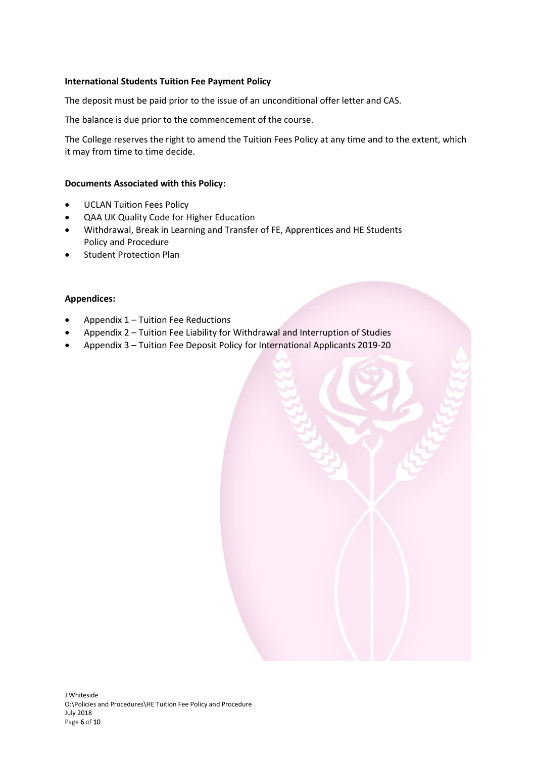## **International Students Tuition Fee Payment Policy**

The deposit must be paid prior to the issue of an unconditional offer letter and CAS.

The balance is due prior to the commencement of the course.

The College reserves the right to amend the Tuition Fees Policy at any time and to the extent, which it may from time to time decide.

## **Documents Associated with this Policy:**

- UCLAN Tuition Fees Policy
- QAA UK Quality Code for Higher Education
- Withdrawal, Break in Learning and Transfer of FE, Apprentices and HE Students Policy and Procedure
- Student Protection Plan

## **Appendices:**

- Appendix  $1$  Tuition Fee Reductions
- Appendix 2 Tuition Fee Liability for Withdrawal and Interruption of Studies
- Appendix 3 Tuition Fee Deposit Policy for International Applicants 2019-20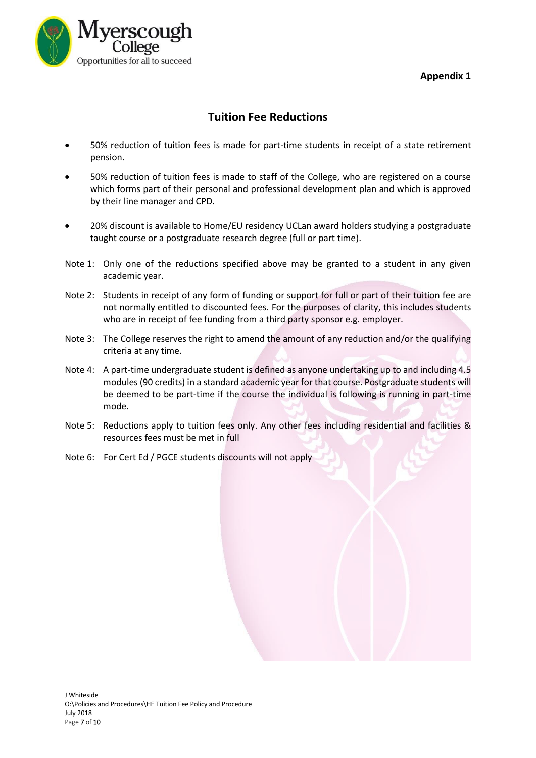**Appendix 1** 



## **Tuition Fee Reductions**

- 50% reduction of tuition fees is made for part-time students in receipt of a state retirement pension.
- 50% reduction of tuition fees is made to staff of the College, who are registered on a course which forms part of their personal and professional development plan and which is approved by their line manager and CPD.
- 20% discount is available to Home/EU residency UCLan award holders studying a postgraduate taught course or a postgraduate research degree (full or part time).
- Note 1: Only one of the reductions specified above may be granted to a student in any given academic year.
- Note 2: Students in receipt of any form of funding or support for full or part of their tuition fee are not normally entitled to discounted fees. For the purposes of clarity, this includes students who are in receipt of fee funding from a third party sponsor e.g. employer.
- Note 3: The College reserves the right to amend the amount of any reduction and/or the qualifying criteria at any time.
- Note 4: A part-time undergraduate student is defined as anyone undertaking up to and including 4.5 modules (90 credits) in a standard academic year for that course. Postgraduate students will be deemed to be part-time if the course the individual is following is running in part-time mode.
- Note 5: Reductions apply to tuition fees only. Any other fees including residential and facilities & resources fees must be met in full
- Note 6: For Cert Ed / PGCE students discounts will not apply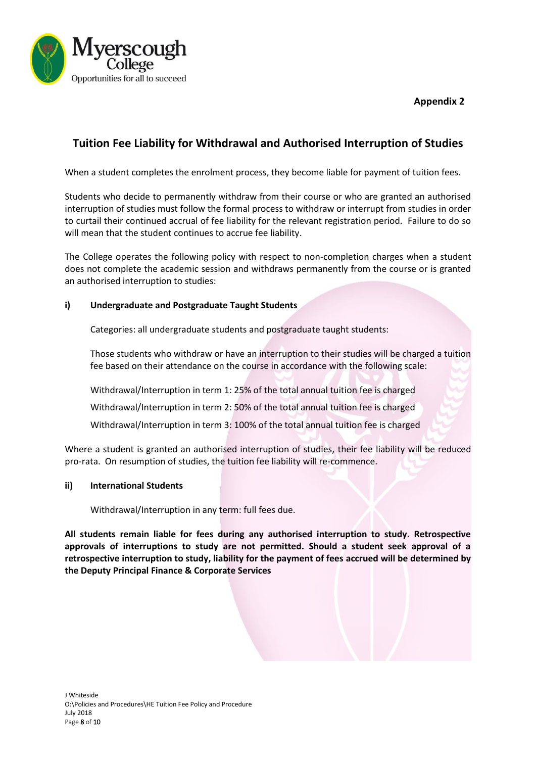**Appendix 2**



## **Tuition Fee Liability for Withdrawal and Authorised Interruption of Studies**

When a student completes the enrolment process, they become liable for payment of tuition fees.

Students who decide to permanently withdraw from their course or who are granted an authorised interruption of studies must follow the formal process to withdraw or interrupt from studies in order to curtail their continued accrual of fee liability for the relevant registration period. Failure to do so will mean that the student continues to accrue fee liability.

The College operates the following policy with respect to non-completion charges when a student does not complete the academic session and withdraws permanently from the course or is granted an authorised interruption to studies:

## **i) Undergraduate and Postgraduate Taught Students**

Categories: all undergraduate students and postgraduate taught students:

Those students who withdraw or have an interruption to their studies will be charged a tuition fee based on their attendance on the course in accordance with the following scale:

Withdrawal/Interruption in term 1: 25% of the total annual tuition fee is charged

Withdrawal/Interruption in term 2: 50% of the total annual tuition fee is charged

Withdrawal/Interruption in term 3: 100% of the total annual tuition fee is charged

Where a student is granted an authorised interruption of studies, their fee liability will be reduced pro-rata. On resumption of studies, the tuition fee liability will re-commence.

## **ii) International Students**

Withdrawal/Interruption in any term: full fees due.

**All students remain liable for fees during any authorised interruption to study. Retrospective approvals of interruptions to study are not permitted. Should a student seek approval of a retrospective interruption to study, liability for the payment of fees accrued will be determined by the Deputy Principal Finance & Corporate Services**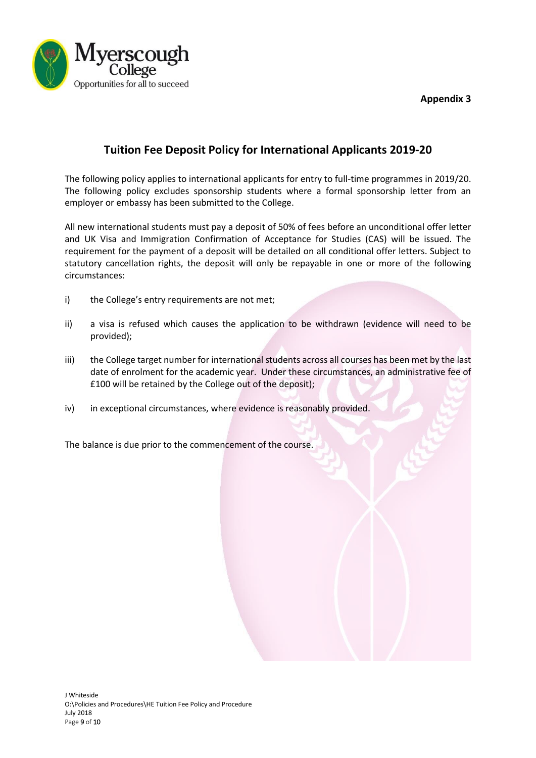**Appendix 3**



## **Tuition Fee Deposit Policy for International Applicants 2019-20**

The following policy applies to international applicants for entry to full‐time programmes in 2019/20. The following policy excludes sponsorship students where a formal sponsorship letter from an employer or embassy has been submitted to the College.

All new international students must pay a deposit of 50% of fees before an unconditional offer letter and UK Visa and Immigration Confirmation of Acceptance for Studies (CAS) will be issued. The requirement for the payment of a deposit will be detailed on all conditional offer letters. Subject to statutory cancellation rights, the deposit will only be repayable in one or more of the following circumstances:

- i) the College's entry requirements are not met;
- ii) a visa is refused which causes the application to be withdrawn (evidence will need to be provided);
- iii) the College target number for international students across all courses has been met by the last date of enrolment for the academic year. Under these circumstances, an administrative fee of £100 will be retained by the College out of the deposit);
- iv) in exceptional circumstances, where evidence is reasonably provided.

The balance is due prior to the commencement of the course.